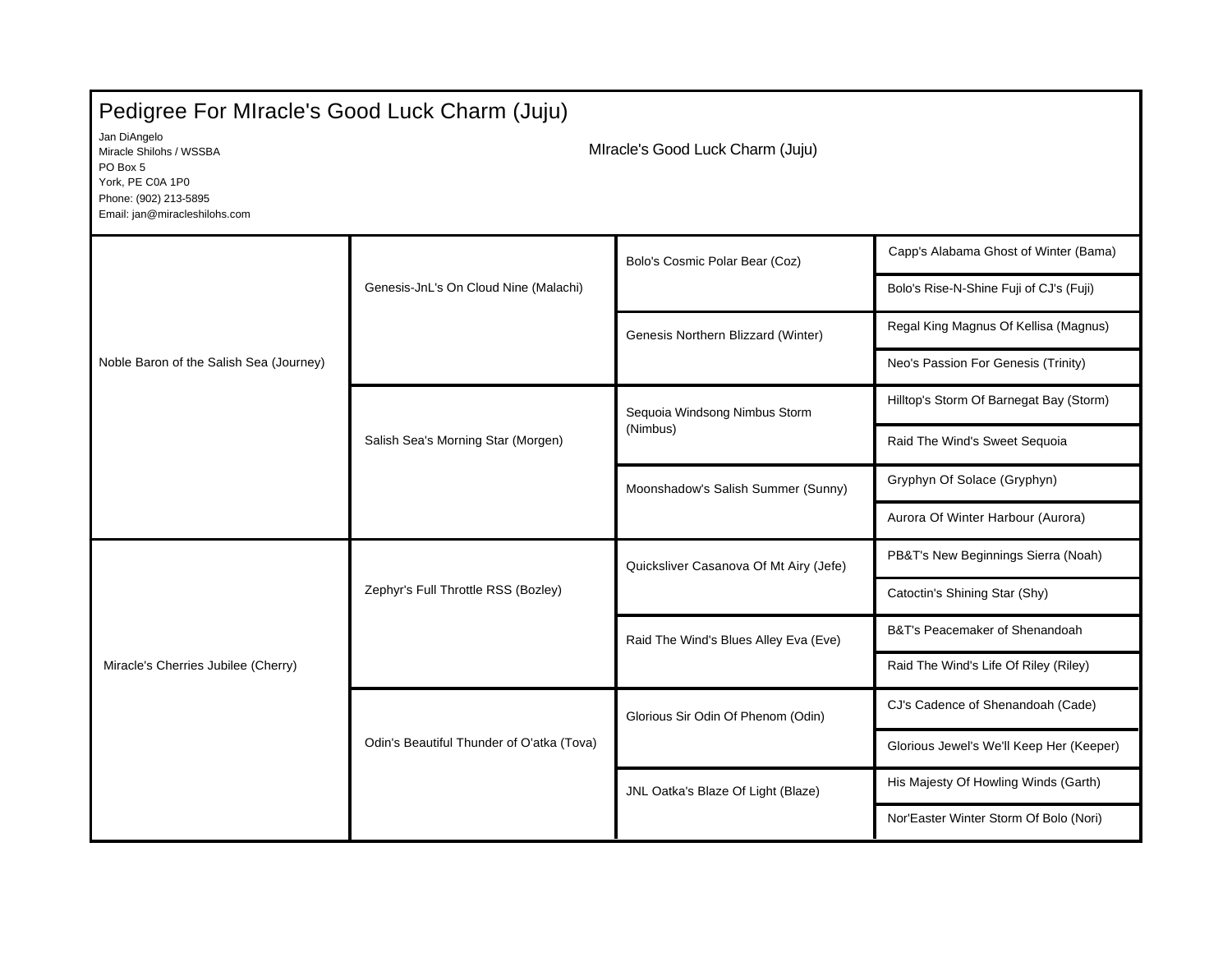| Pedigree For MIracle's Good Luck Charm (Juju)                                                                                     |                                           |                                           |                                          |  |  |
|-----------------------------------------------------------------------------------------------------------------------------------|-------------------------------------------|-------------------------------------------|------------------------------------------|--|--|
| Jan DiAngelo<br>Miracle Shilohs / WSSBA<br>PO Box 5<br>York, PE C0A 1P0<br>Phone: (902) 213-5895<br>Email: jan@miracleshilohs.com | MIracle's Good Luck Charm (Juju)          |                                           |                                          |  |  |
| Noble Baron of the Salish Sea (Journey)                                                                                           | Genesis-JnL's On Cloud Nine (Malachi)     | Bolo's Cosmic Polar Bear (Coz)            | Capp's Alabama Ghost of Winter (Bama)    |  |  |
|                                                                                                                                   |                                           |                                           | Bolo's Rise-N-Shine Fuji of CJ's (Fuji)  |  |  |
|                                                                                                                                   |                                           | Genesis Northern Blizzard (Winter)        | Regal King Magnus Of Kellisa (Magnus)    |  |  |
|                                                                                                                                   |                                           |                                           | Neo's Passion For Genesis (Trinity)      |  |  |
|                                                                                                                                   | Salish Sea's Morning Star (Morgen)        | Sequoia Windsong Nimbus Storm<br>(Nimbus) | Hilltop's Storm Of Barnegat Bay (Storm)  |  |  |
|                                                                                                                                   |                                           |                                           | Raid The Wind's Sweet Sequoia            |  |  |
|                                                                                                                                   |                                           | Moonshadow's Salish Summer (Sunny)        | Gryphyn Of Solace (Gryphyn)              |  |  |
|                                                                                                                                   |                                           |                                           | Aurora Of Winter Harbour (Aurora)        |  |  |
| Miracle's Cherries Jubilee (Cherry)                                                                                               | Zephyr's Full Throttle RSS (Bozley)       | Quicksliver Casanova Of Mt Airy (Jefe)    | PB&T's New Beginnings Sierra (Noah)      |  |  |
|                                                                                                                                   |                                           |                                           | Catoctin's Shining Star (Shy)            |  |  |
|                                                                                                                                   |                                           | Raid The Wind's Blues Alley Eva (Eve)     | B&T's Peacemaker of Shenandoah           |  |  |
|                                                                                                                                   |                                           |                                           | Raid The Wind's Life Of Riley (Riley)    |  |  |
|                                                                                                                                   | Odin's Beautiful Thunder of O'atka (Tova) | Glorious Sir Odin Of Phenom (Odin)        | CJ's Cadence of Shenandoah (Cade)        |  |  |
|                                                                                                                                   |                                           |                                           | Glorious Jewel's We'll Keep Her (Keeper) |  |  |
|                                                                                                                                   |                                           | JNL Oatka's Blaze Of Light (Blaze)        | His Majesty Of Howling Winds (Garth)     |  |  |
|                                                                                                                                   |                                           |                                           | Nor'Easter Winter Storm Of Bolo (Nori)   |  |  |